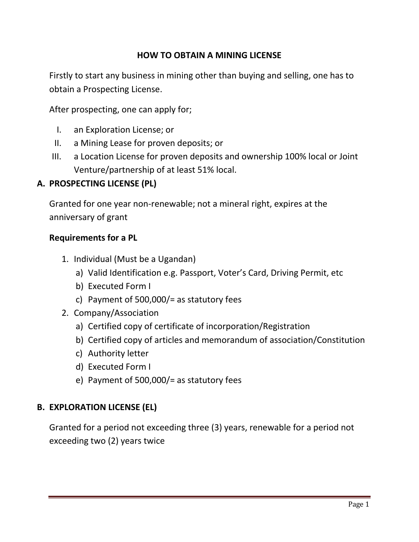## **HOW TO OBTAIN A MINING LICENSE**

Firstly to start any business in mining other than buying and selling, one has to obtain a Prospecting License.

After prospecting, one can apply for;

- I. an Exploration License; or
- II. a Mining Lease for proven deposits; or
- III. a Location License for proven deposits and ownership 100% local or Joint Venture/partnership of at least 51% local.

### **A. PROSPECTING LICENSE (PL)**

Granted for one year non-renewable; not a mineral right, expires at the anniversary of grant

### **Requirements for a PL**

- 1. Individual (Must be a Ugandan)
	- a) Valid Identification e.g. Passport, Voter's Card, Driving Permit, etc
	- b) Executed Form I
	- c) Payment of 500,000/= as statutory fees
- 2. Company/Association
	- a) Certified copy of certificate of incorporation/Registration
	- b) Certified copy of articles and memorandum of association/Constitution
	- c) Authority letter
	- d) Executed Form I
	- e) Payment of 500,000/= as statutory fees

### **B. EXPLORATION LICENSE (EL)**

Granted for a period not exceeding three (3) years, renewable for a period not exceeding two (2) years twice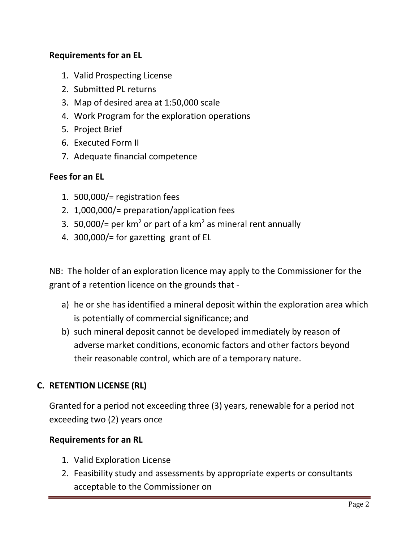## **Requirements for an EL**

- 1. Valid Prospecting License
- 2. Submitted PL returns
- 3. Map of desired area at 1:50,000 scale
- 4. Work Program for the exploration operations
- 5. Project Brief
- 6. Executed Form II
- 7. Adequate financial competence

## **Fees for an EL**

- 1. 500,000/= registration fees
- 2. 1,000,000/= preparation/application fees
- 3. 50,000/= per  $km^2$  or part of a  $km^2$  as mineral rent annually
- 4. 300,000/= for gazetting grant of EL

NB: The holder of an exploration licence may apply to the Commissioner for the grant of a retention licence on the grounds that -

- a) he or she has identified a mineral deposit within the exploration area which is potentially of commercial significance; and
- b) such mineral deposit cannot be developed immediately by reason of adverse market conditions, economic factors and other factors beyond their reasonable control, which are of a temporary nature.

## **C. RETENTION LICENSE (RL)**

Granted for a period not exceeding three (3) years, renewable for a period not exceeding two (2) years once

## **Requirements for an RL**

- 1. Valid Exploration License
- 2. Feasibility study and assessments by appropriate experts or consultants acceptable to the Commissioner on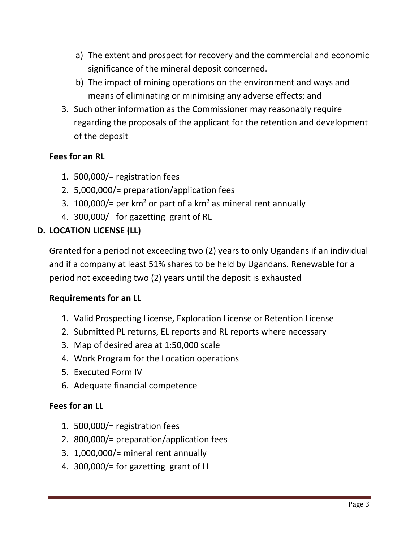- a) The extent and prospect for recovery and the commercial and economic significance of the mineral deposit concerned.
- b) The impact of mining operations on the environment and ways and means of eliminating or minimising any adverse effects; and
- 3. Such other information as the Commissioner may reasonably require regarding the proposals of the applicant for the retention and development of the deposit

# **Fees for an RL**

- 1. 500,000/= registration fees
- 2. 5,000,000/= preparation/application fees
- 3. 100,000/= per  $km^2$  or part of a  $km^2$  as mineral rent annually
- 4. 300,000/= for gazetting grant of RL

## **D. LOCATION LICENSE (LL)**

Granted for a period not exceeding two (2) years to only Ugandans if an individual and if a company at least 51% shares to be held by Ugandans. Renewable for a period not exceeding two (2) years until the deposit is exhausted

### **Requirements for an LL**

- 1. Valid Prospecting License, Exploration License or Retention License
- 2. Submitted PL returns, EL reports and RL reports where necessary
- 3. Map of desired area at 1:50,000 scale
- 4. Work Program for the Location operations
- 5. Executed Form IV
- 6. Adequate financial competence

## **Fees for an LL**

- 1. 500,000/= registration fees
- 2. 800,000/= preparation/application fees
- 3. 1,000,000/= mineral rent annually
- 4. 300,000/= for gazetting grant of LL